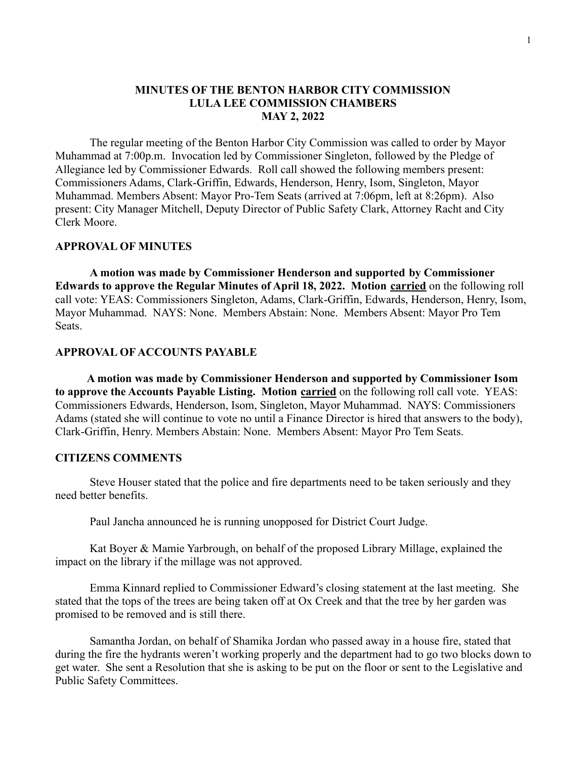## **MINUTES OF THE BENTON HARBOR CITY COMMISSION LULA LEE COMMISSION CHAMBERS MAY 2, 2022**

The regular meeting of the Benton Harbor City Commission was called to order by Mayor Muhammad at 7:00p.m. Invocation led by Commissioner Singleton, followed by the Pledge of Allegiance led by Commissioner Edwards. Roll call showed the following members present: Commissioners Adams, Clark-Griffin, Edwards, Henderson, Henry, Isom, Singleton, Mayor Muhammad. Members Absent: Mayor Pro-Tem Seats (arrived at 7:06pm, left at 8:26pm). Also present: City Manager Mitchell, Deputy Director of Public Safety Clark, Attorney Racht and City Clerk Moore.

#### **APPROVAL OF MINUTES**

**A motion was made by Commissioner Henderson and supported by Commissioner Edwards to approve the Regular Minutes of April 18, 2022. Motion carried** on the following roll call vote: YEAS: Commissioners Singleton, Adams, Clark-Griffin, Edwards, Henderson, Henry, Isom, Mayor Muhammad. NAYS: None. Members Abstain: None. Members Absent: Mayor Pro Tem Seats.

#### **APPROVAL OF ACCOUNTS PAYABLE**

**A motion was made by Commissioner Henderson and supported by Commissioner Isom to approve the Accounts Payable Listing. Motion carried** on the following roll call vote. YEAS: Commissioners Edwards, Henderson, Isom, Singleton, Mayor Muhammad. NAYS: Commissioners Adams (stated she will continue to vote no until a Finance Director is hired that answers to the body), Clark-Griffin, Henry. Members Abstain: None. Members Absent: Mayor Pro Tem Seats.

#### **CITIZENS COMMENTS**

Steve Houser stated that the police and fire departments need to be taken seriously and they need better benefits.

Paul Jancha announced he is running unopposed for District Court Judge.

Kat Boyer & Mamie Yarbrough, on behalf of the proposed Library Millage, explained the impact on the library if the millage was not approved.

Emma Kinnard replied to Commissioner Edward's closing statement at the last meeting. She stated that the tops of the trees are being taken off at Ox Creek and that the tree by her garden was promised to be removed and is still there.

Samantha Jordan, on behalf of Shamika Jordan who passed away in a house fire, stated that during the fire the hydrants weren't working properly and the department had to go two blocks down to get water. She sent a Resolution that she is asking to be put on the floor or sent to the Legislative and Public Safety Committees.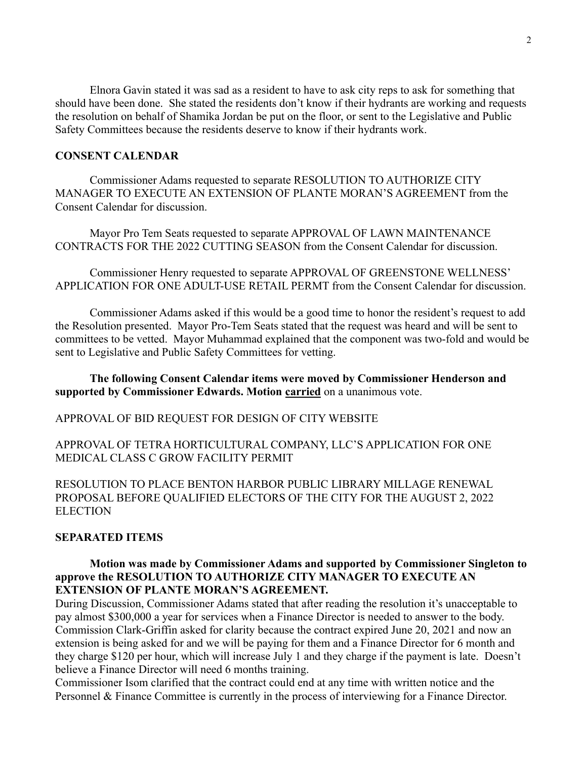Elnora Gavin stated it was sad as a resident to have to ask city reps to ask for something that should have been done. She stated the residents don't know if their hydrants are working and requests the resolution on behalf of Shamika Jordan be put on the floor, or sent to the Legislative and Public Safety Committees because the residents deserve to know if their hydrants work.

# **CONSENT CALENDAR**

Commissioner Adams requested to separate RESOLUTION TO AUTHORIZE CITY MANAGER TO EXECUTE AN EXTENSION OF PLANTE MORAN'S AGREEMENT from the Consent Calendar for discussion.

Mayor Pro Tem Seats requested to separate APPROVAL OF LAWN MAINTENANCE CONTRACTS FOR THE 2022 CUTTING SEASON from the Consent Calendar for discussion.

Commissioner Henry requested to separate APPROVAL OF GREENSTONE WELLNESS' APPLICATION FOR ONE ADULT-USE RETAIL PERMT from the Consent Calendar for discussion.

Commissioner Adams asked if this would be a good time to honor the resident's request to add the Resolution presented. Mayor Pro-Tem Seats stated that the request was heard and will be sent to committees to be vetted. Mayor Muhammad explained that the component was two-fold and would be sent to Legislative and Public Safety Committees for vetting.

## **The following Consent Calendar items were moved by Commissioner Henderson and supported by Commissioner Edwards. Motion carried** on a unanimous vote.

#### APPROVAL OF BID REQUEST FOR DESIGN OF CITY WEBSITE

APPROVAL OF TETRA HORTICULTURAL COMPANY, LLC'S APPLICATION FOR ONE MEDICAL CLASS C GROW FACILITY PERMIT

RESOLUTION TO PLACE BENTON HARBOR PUBLIC LIBRARY MILLAGE RENEWAL PROPOSAL BEFORE QUALIFIED ELECTORS OF THE CITY FOR THE AUGUST 2, 2022 **ELECTION** 

## **SEPARATED ITEMS**

# **Motion was made by Commissioner Adams and supported by Commissioner Singleton to approve the RESOLUTION TO AUTHORIZE CITY MANAGER TO EXECUTE AN EXTENSION OF PLANTE MORAN'S AGREEMENT.**

During Discussion, Commissioner Adams stated that after reading the resolution it's unacceptable to pay almost \$300,000 a year for services when a Finance Director is needed to answer to the body. Commission Clark-Griffin asked for clarity because the contract expired June 20, 2021 and now an extension is being asked for and we will be paying for them and a Finance Director for 6 month and they charge \$120 per hour, which will increase July 1 and they charge if the payment is late. Doesn't believe a Finance Director will need 6 months training.

Commissioner Isom clarified that the contract could end at any time with written notice and the Personnel & Finance Committee is currently in the process of interviewing for a Finance Director.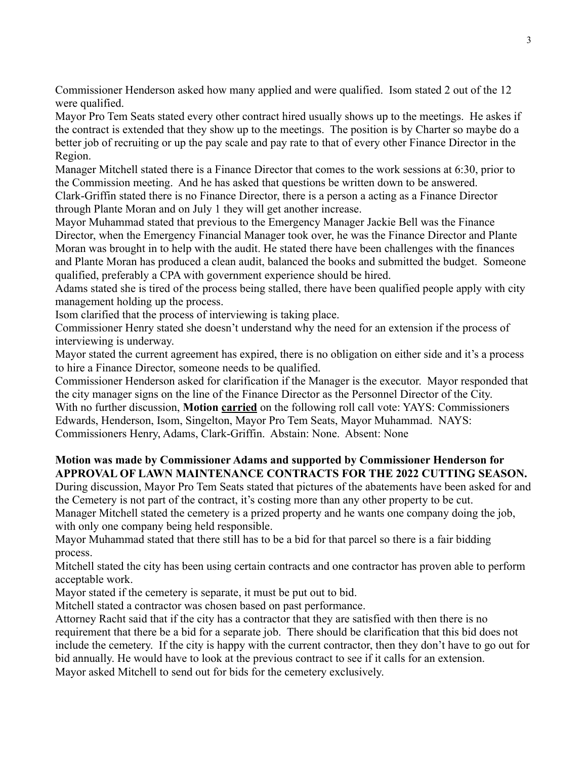Commissioner Henderson asked how many applied and were qualified. Isom stated 2 out of the 12 were qualified.

Mayor Pro Tem Seats stated every other contract hired usually shows up to the meetings. He askes if the contract is extended that they show up to the meetings. The position is by Charter so maybe do a better job of recruiting or up the pay scale and pay rate to that of every other Finance Director in the Region.

Manager Mitchell stated there is a Finance Director that comes to the work sessions at 6:30, prior to the Commission meeting. And he has asked that questions be written down to be answered.

Clark-Griffin stated there is no Finance Director, there is a person a acting as a Finance Director through Plante Moran and on July 1 they will get another increase.

Mayor Muhammad stated that previous to the Emergency Manager Jackie Bell was the Finance Director, when the Emergency Financial Manager took over, he was the Finance Director and Plante Moran was brought in to help with the audit. He stated there have been challenges with the finances and Plante Moran has produced a clean audit, balanced the books and submitted the budget. Someone qualified, preferably a CPA with government experience should be hired.

Adams stated she is tired of the process being stalled, there have been qualified people apply with city management holding up the process.

Isom clarified that the process of interviewing is taking place.

Commissioner Henry stated she doesn't understand why the need for an extension if the process of interviewing is underway.

Mayor stated the current agreement has expired, there is no obligation on either side and it's a process to hire a Finance Director, someone needs to be qualified.

Commissioner Henderson asked for clarification if the Manager is the executor. Mayor responded that the city manager signs on the line of the Finance Director as the Personnel Director of the City. With no further discussion, **Motion carried** on the following roll call vote: YAYS: Commissioners Edwards, Henderson, Isom, Singelton, Mayor Pro Tem Seats, Mayor Muhammad. NAYS: Commissioners Henry, Adams, Clark-Griffin. Abstain: None. Absent: None

# **Motion was made by Commissioner Adams and supported by Commissioner Henderson for APPROVAL OF LAWN MAINTENANCE CONTRACTS FOR THE 2022 CUTTING SEASON.**

During discussion, Mayor Pro Tem Seats stated that pictures of the abatements have been asked for and the Cemetery is not part of the contract, it's costing more than any other property to be cut. Manager Mitchell stated the cemetery is a prized property and he wants one company doing the job,

with only one company being held responsible.

Mayor Muhammad stated that there still has to be a bid for that parcel so there is a fair bidding process.

Mitchell stated the city has been using certain contracts and one contractor has proven able to perform acceptable work.

Mayor stated if the cemetery is separate, it must be put out to bid.

Mitchell stated a contractor was chosen based on past performance.

Attorney Racht said that if the city has a contractor that they are satisfied with then there is no requirement that there be a bid for a separate job. There should be clarification that this bid does not include the cemetery. If the city is happy with the current contractor, then they don't have to go out for bid annually. He would have to look at the previous contract to see if it calls for an extension. Mayor asked Mitchell to send out for bids for the cemetery exclusively.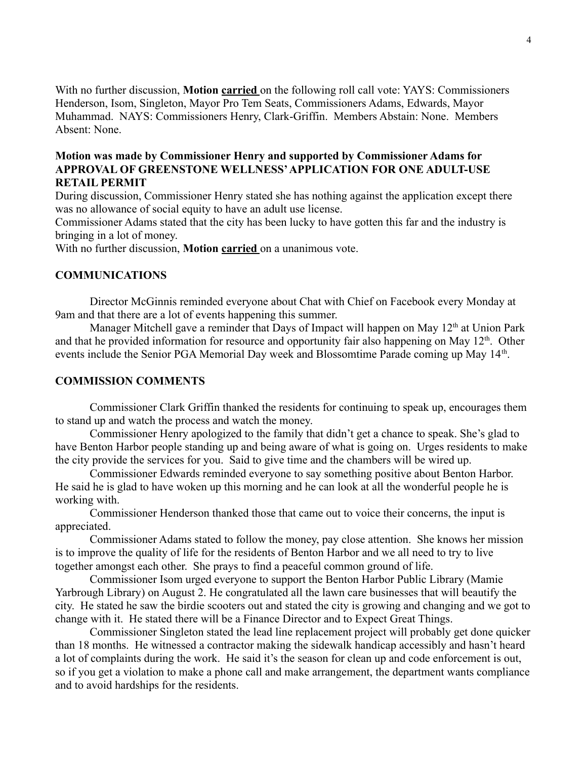With no further discussion, **Motion carried** on the following roll call vote: YAYS: Commissioners Henderson, Isom, Singleton, Mayor Pro Tem Seats, Commissioners Adams, Edwards, Mayor Muhammad. NAYS: Commissioners Henry, Clark-Griffin. Members Abstain: None. Members Absent: None.

# **Motion was made by Commissioner Henry and supported by Commissioner Adams for APPROVAL OF GREENSTONE WELLNESS'APPLICATION FOR ONE ADULT-USE RETAIL PERMIT**

During discussion, Commissioner Henry stated she has nothing against the application except there was no allowance of social equity to have an adult use license.

Commissioner Adams stated that the city has been lucky to have gotten this far and the industry is bringing in a lot of money.

With no further discussion, **Motion carried** on a unanimous vote.

# **COMMUNICATIONS**

Director McGinnis reminded everyone about Chat with Chief on Facebook every Monday at 9am and that there are a lot of events happening this summer.

Manager Mitchell gave a reminder that Days of Impact will happen on May  $12<sup>th</sup>$  at Union Park and that he provided information for resource and opportunity fair also happening on May 12<sup>th</sup>. Other events include the Senior PGA Memorial Day week and Blossomtime Parade coming up May 14<sup>th</sup>.

## **COMMISSION COMMENTS**

Commissioner Clark Griffin thanked the residents for continuing to speak up, encourages them to stand up and watch the process and watch the money.

Commissioner Henry apologized to the family that didn't get a chance to speak. She's glad to have Benton Harbor people standing up and being aware of what is going on. Urges residents to make the city provide the services for you. Said to give time and the chambers will be wired up.

Commissioner Edwards reminded everyone to say something positive about Benton Harbor. He said he is glad to have woken up this morning and he can look at all the wonderful people he is working with.

Commissioner Henderson thanked those that came out to voice their concerns, the input is appreciated.

Commissioner Adams stated to follow the money, pay close attention. She knows her mission is to improve the quality of life for the residents of Benton Harbor and we all need to try to live together amongst each other. She prays to find a peaceful common ground of life.

Commissioner Isom urged everyone to support the Benton Harbor Public Library (Mamie Yarbrough Library) on August 2. He congratulated all the lawn care businesses that will beautify the city. He stated he saw the birdie scooters out and stated the city is growing and changing and we got to change with it. He stated there will be a Finance Director and to Expect Great Things.

Commissioner Singleton stated the lead line replacement project will probably get done quicker than 18 months. He witnessed a contractor making the sidewalk handicap accessibly and hasn't heard a lot of complaints during the work. He said it's the season for clean up and code enforcement is out, so if you get a violation to make a phone call and make arrangement, the department wants compliance and to avoid hardships for the residents.